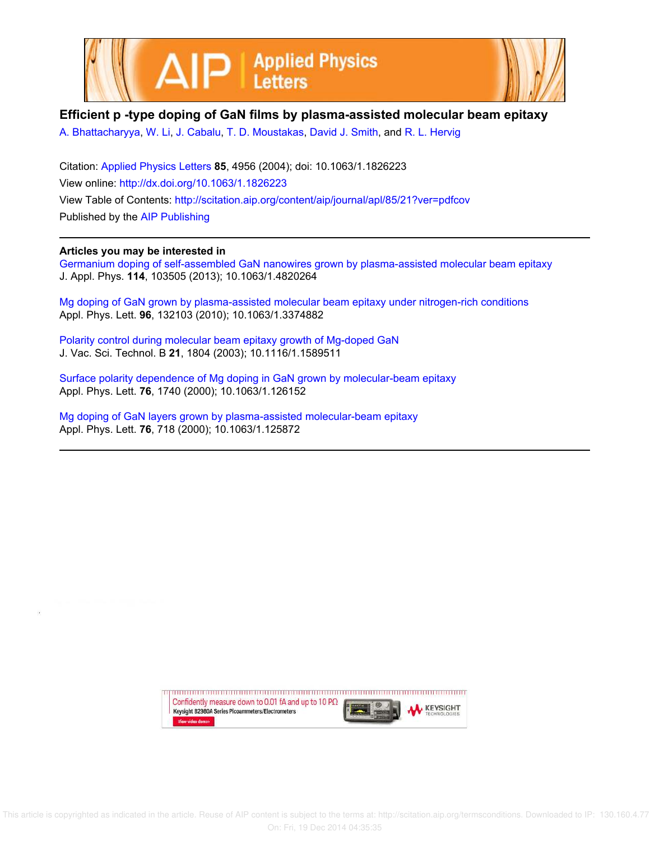



## **Efficient p -type doping of GaN films by plasma-assisted molecular beam epitaxy**

A. Bhattacharyya, W. Li, J. Cabalu, T. D. Moustakas, David J. Smith, and R. L. Hervig

Citation: Applied Physics Letters **85**, 4956 (2004); doi: 10.1063/1.1826223 View online: http://dx.doi.org/10.1063/1.1826223 View Table of Contents: http://scitation.aip.org/content/aip/journal/apl/85/21?ver=pdfcov Published by the AIP Publishing

## **Articles you may be interested in**

Germanium doping of self-assembled GaN nanowires grown by plasma-assisted molecular beam epitaxy J. Appl. Phys. **114**, 103505 (2013); 10.1063/1.4820264

Mg doping of GaN grown by plasma-assisted molecular beam epitaxy under nitrogen-rich conditions Appl. Phys. Lett. **96**, 132103 (2010); 10.1063/1.3374882

Polarity control during molecular beam epitaxy growth of Mg-doped GaN J. Vac. Sci. Technol. B **21**, 1804 (2003); 10.1116/1.1589511

Surface polarity dependence of Mg doping in GaN grown by molecular-beam epitaxy Appl. Phys. Lett. **76**, 1740 (2000); 10.1063/1.126152

Mg doping of GaN layers grown by plasma-assisted molecular-beam epitaxy Appl. Phys. Lett. **76**, 718 (2000); 10.1063/1.125872

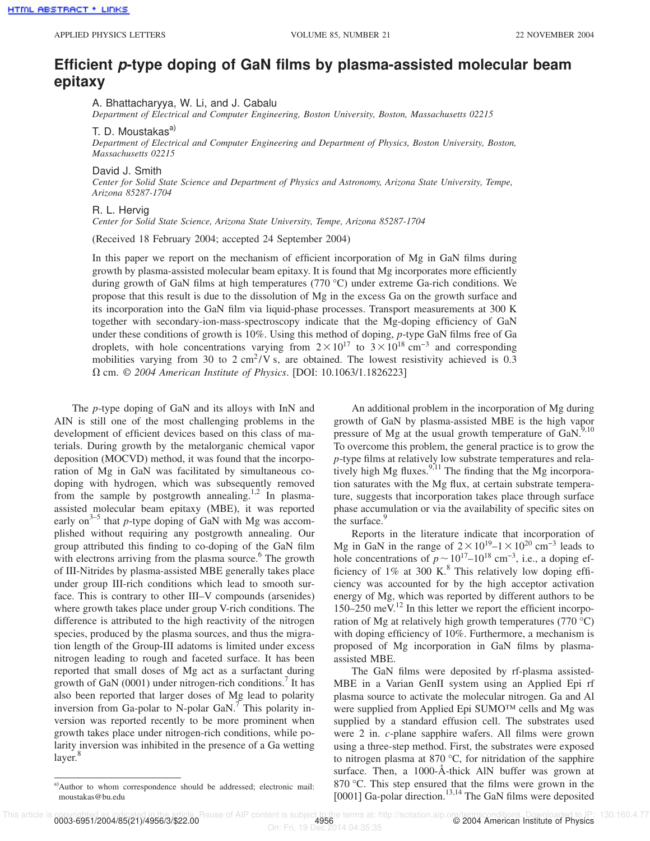## **Efficient p-type doping of GaN films by plasma-assisted molecular beam epitaxy**

A. Bhattacharyya, W. Li, and J. Cabalu

*Department of Electrical and Computer Engineering, Boston University, Boston, Massachusetts 02215*

T. D. Moustakas<sup>a)</sup>

*Department of Electrical and Computer Engineering and Department of Physics, Boston University, Boston, Massachusetts 02215*

David J. Smith

*Center for Solid State Science and Department of Physics and Astronomy, Arizona State University, Tempe, Arizona 85287-1704*

R. L. Hervig

*Center for Solid State Science, Arizona State University, Tempe, Arizona 85287-1704*

(Received 18 February 2004; accepted 24 September 2004)

In this paper we report on the mechanism of efficient incorporation of Mg in GaN films during growth by plasma-assisted molecular beam epitaxy. It is found that Mg incorporates more efficiently during growth of GaN films at high temperatures (770 °C) under extreme Ga-rich conditions. We propose that this result is due to the dissolution of Mg in the excess Ga on the growth surface and its incorporation into the GaN film via liquid-phase processes. Transport measurements at 300 K together with secondary-ion-mass-spectroscopy indicate that the Mg-doping efficiency of GaN under these conditions of growth is 10%. Using this method of doping, *p*-type GaN films free of Ga droplets, with hole concentrations varying from  $2 \times 10^{17}$  to  $3 \times 10^{18}$  cm<sup>-3</sup> and corresponding mobilities varying from 30 to  $2 \text{ cm}^2/\text{V s}$ , are obtained. The lowest resistivity achieved is 0.3 V cm. © *2004 American Institute of Physics*. [DOI: 10.1063/1.1826223]

The *p*-type doping of GaN and its alloys with InN and AIN is still one of the most challenging problems in the development of efficient devices based on this class of materials. During growth by the metalorganic chemical vapor deposition (MOCVD) method, it was found that the incorporation of Mg in GaN was facilitated by simultaneous codoping with hydrogen, which was subsequently removed from the sample by postgrowth annealing.<sup>1,2</sup> In plasmaassisted molecular beam epitaxy (MBE), it was reported early on<sup>3-5</sup> that *p*-type doping of GaN with Mg was accomplished without requiring any postgrowth annealing. Our group attributed this finding to co-doping of the GaN film with electrons arriving from the plasma source.<sup>6</sup> The growth of III-Nitrides by plasma-assisted MBE generally takes place under group III-rich conditions which lead to smooth surface. This is contrary to other III–V compounds (arsenides) where growth takes place under group V-rich conditions. The difference is attributed to the high reactivity of the nitrogen species, produced by the plasma sources, and thus the migration length of the Group-III adatoms is limited under excess nitrogen leading to rough and faceted surface. It has been reported that small doses of Mg act as a surfactant during growth of GaN  $(0001)$  under nitrogen-rich conditions.<sup>7</sup> It has also been reported that larger doses of Mg lead to polarity inversion from Ga-polar to N-polar GaN.<sup> $\tau$ </sup> This polarity inversion was reported recently to be more prominent when growth takes place under nitrogen-rich conditions, while polarity inversion was inhibited in the presence of a Ga wetting layer.<sup>8</sup>

An additional problem in the incorporation of Mg during growth of GaN by plasma-assisted MBE is the high vapor pressure of Mg at the usual growth temperature of  $\text{GaN.}^{9,10}$ To overcome this problem, the general practice is to grow the *p*-type films at relatively low substrate temperatures and relatively high Mg fluxes. $9,11$  The finding that the Mg incorporation saturates with the Mg flux, at certain substrate temperature, suggests that incorporation takes place through surface phase accumulation or via the availability of specific sites on the surface.<sup>9</sup>

Reports in the literature indicate that incorporation of Mg in GaN in the range of  $2 \times 10^{19}$ – $1 \times 10^{20}$  cm<sup>-3</sup> leads to hole concentrations of  $p \sim 10^{17}$ –10<sup>18</sup> cm<sup>-3</sup>, i.e., a doping efficiency of  $1\%$  at 300 K.<sup>8</sup> This relatively low doping efficiency was accounted for by the high acceptor activation energy of Mg, which was reported by different authors to be  $150-250$  meV.<sup>12</sup> In this letter we report the efficient incorporation of Mg at relatively high growth temperatures (770 °C) with doping efficiency of 10%. Furthermore, a mechanism is proposed of Mg incorporation in GaN films by plasmaassisted MBE.

The GaN films were deposited by rf-plasma assisted-MBE in a Varian GenII system using an Applied Epi rf plasma source to activate the molecular nitrogen. Ga and Al were supplied from Applied Epi SUMO™ cells and Mg was supplied by a standard effusion cell. The substrates used were 2 in. *c*-plane sapphire wafers. All films were grown using a three-step method. First, the substrates were exposed to nitrogen plasma at 870 °C, for nitridation of the sapphire surface. Then, a 1000-Å-thick AlN buffer was grown at 870 °C. This step ensured that the films were grown in the [0001] Ga-polar direction.<sup>13,14</sup> The GaN films were deposited

a)Author to whom correspondence should be addressed; electronic mail: moustakas@bu.edu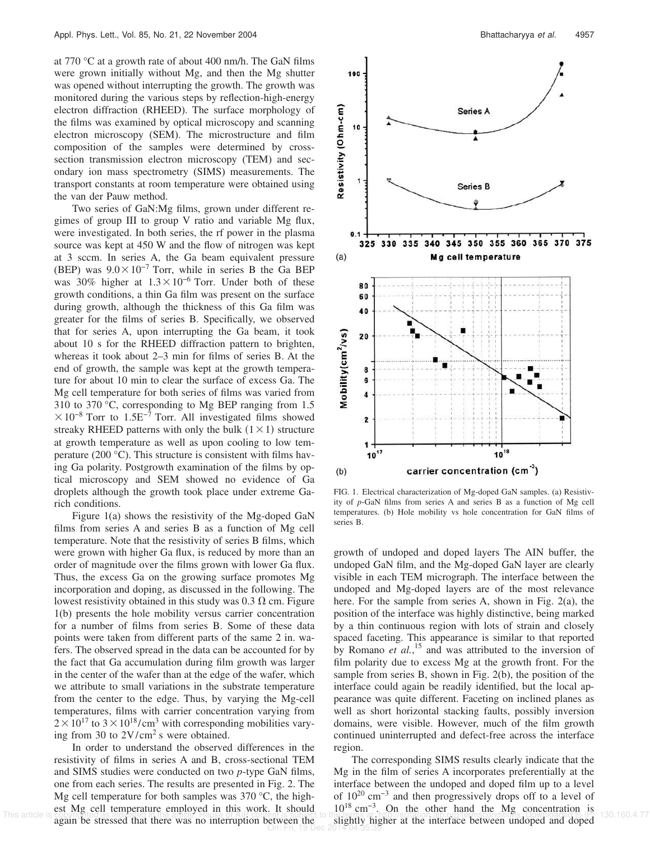at 770 °C at a growth rate of about 400 nm/h. The GaN films were grown initially without Mg, and then the Mg shutter was opened without interrupting the growth. The growth was monitored during the various steps by reflection-high-energy electron diffraction (RHEED). The surface morphology of the films was examined by optical microscopy and scanning electron microscopy (SEM). The microstructure and film composition of the samples were determined by crosssection transmission electron microscopy (TEM) and secondary ion mass spectrometry (SIMS) measurements. The transport constants at room temperature were obtained using the van der Pauw method.

Two series of GaN:Mg films, grown under different regimes of group III to group V ratio and variable Mg flux, were investigated. In both series, the rf power in the plasma source was kept at 450 W and the flow of nitrogen was kept at 3 sccm. In series A, the Ga beam equivalent pressure (BEP) was  $9.0 \times 10^{-7}$  Torr, while in series B the Ga BEP was 30% higher at  $1.3 \times 10^{-6}$  Torr. Under both of these growth conditions, a thin Ga film was present on the surface during growth, although the thickness of this Ga film was greater for the films of series B. Specifically, we observed that for series A, upon interrupting the Ga beam, it took about 10 s for the RHEED diffraction pattern to brighten, whereas it took about 2–3 min for films of series B. At the end of growth, the sample was kept at the growth temperature for about 10 min to clear the surface of excess Ga. The Mg cell temperature for both series of films was varied from 310 to 370 °C, corresponding to Mg BEP ranging from 1.5  $\times$ 10<sup>-8</sup> Torr to 1.5E<sup>-7</sup> Torr. All investigated films showed streaky RHEED patterns with only the bulk  $(1 \times 1)$  structure at growth temperature as well as upon cooling to low temperature (200 °C). This structure is consistent with films having Ga polarity. Postgrowth examination of the films by optical microscopy and SEM showed no evidence of Ga droplets although the growth took place under extreme Garich conditions.

Figure 1(a) shows the resistivity of the Mg-doped GaN films from series A and series B as a function of Mg cell temperature. Note that the resistivity of series B films, which were grown with higher Ga flux, is reduced by more than an order of magnitude over the films grown with lower Ga flux. Thus, the excess Ga on the growing surface promotes Mg incorporation and doping, as discussed in the following. The lowest resistivity obtained in this study was  $0.3 \Omega$  cm. Figure 1(b) presents the hole mobility versus carrier concentration for a number of films from series B. Some of these data points were taken from different parts of the same 2 in. wafers. The observed spread in the data can be accounted for by the fact that Ga accumulation during film growth was larger in the center of the wafer than at the edge of the wafer, which we attribute to small variations in the substrate temperature from the center to the edge. Thus, by varying the Mg-cell temperatures, films with carrier concentration varying from  $2 \times 10^{17}$  to  $3 \times 10^{18}$ /cm<sup>3</sup> with corresponding mobilities varying from 30 to 2V/cm<sup>2</sup> s were obtained.

In order to understand the observed differences in the resistivity of films in series A and B, cross-sectional TEM and SIMS studies were conducted on two *p*-type GaN films, one from each series. The results are presented in Fig. 2. The Mg cell temperature for both samples was  $370^{\circ}$ C, the highest Mg cell temperature employed in this work. It should again be stressed that there was no interruption between the This article is conducted and doped and the stressed that there was no interruption between the slightly higher at the interface between undoped and doped On: Fri, 19 Dec 2014 04:35:35



FIG. 1. Electrical characterization of Mg-doped GaN samples. (a) Resistivity of *p*-GaN films from series A and series B as a function of Mg cell temperatures. (b) Hole mobility vs hole concentration for GaN films of series B.

growth of undoped and doped layers The AIN buffer, the undoped GaN film, and the Mg-doped GaN layer are clearly visible in each TEM micrograph. The interface between the undoped and Mg-doped layers are of the most relevance here. For the sample from series A, shown in Fig. 2(a), the position of the interface was highly distinctive, being marked by a thin continuous region with lots of strain and closely spaced faceting. This appearance is similar to that reported by Romano *et al.*<sup>15</sup> and was attributed to the inversion of film polarity due to excess Mg at the growth front. For the sample from series B, shown in Fig. 2(b), the position of the interface could again be readily identified, but the local appearance was quite different. Faceting on inclined planes as well as short horizontal stacking faults, possibly inversion domains, were visible. However, much of the film growth continued uninterrupted and defect-free across the interface region.

The corresponding SIMS results clearly indicate that the Mg in the film of series A incorporates preferentially at the interface between the undoped and doped film up to a level of 10<sup>20</sup> cm−3 and then progressively drops off to a level of 10<sup>18</sup> cm−3. On the other hand the Mg concentration is